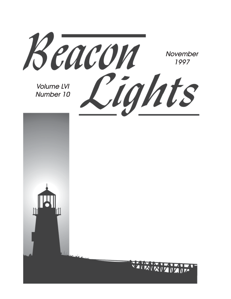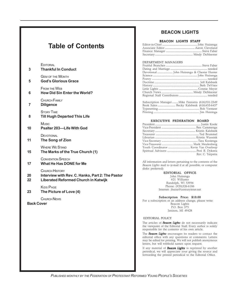## **Table of Contents**

#### **EDITORIAL**

| 3                                | EDITORIAL<br><b>Thankful In Conduct</b>                                                                                  |  |
|----------------------------------|--------------------------------------------------------------------------------------------------------------------------|--|
| 5                                | <b>GEM OF THE MONTH</b><br><b>God's Glorious Grace</b>                                                                   |  |
| 6                                | <b>FROM THE WEB</b><br><b>How Did Sin Enter the World?</b>                                                               |  |
| 7                                | CHURCH FAMILY<br><b>Diligence</b>                                                                                        |  |
| 8                                | <b>STORY TIME</b><br><b>Till Hugh Departed This Life</b>                                                                 |  |
| 10                               | <b>Music</b><br><b>Psalter 203-Life With God</b>                                                                         |  |
| 11                               | DEVOTIONAL<br>The Song of Zion                                                                                           |  |
| 15                               | <b>WHERE WE STAND</b><br>The Marks of the True Church (1)                                                                |  |
| 17                               | <b>CONVENTION SPEECH</b><br>What He Has DONE for Me                                                                      |  |
| 20<br>22                         | <b>CHURCH HISTORY</b><br>Interview with Rev. C. Hanko, Part 2: The Pastor<br><b>Liberated Reformed Church in Katwijk</b> |  |
| 23                               | <b>KIDS PAGE</b><br>The Picture of Love (4)                                                                              |  |
| CHURCH NEWS<br><b>Back Cover</b> |                                                                                                                          |  |

#### **BEACON LIGHTS**

#### BEACON LIGHTS STAFF

#### DEPARTMENT MANAGERS

| Subscription Manager Mike Feenstra (616)531-2349 |  |
|--------------------------------------------------|--|
|                                                  |  |
|                                                  |  |
|                                                  |  |

#### EXECUTIVE FEDERATION BOARD

| Rev. C. Terpstra |
|------------------|

All information and letters pertaining to the contents of the *Beacon Lights* mail to (e-mail if at all possible, or computer disks preferred):

#### EDITORIAL OFFICE

John Huizenga 621 Williams Randolph, WI 53956 Phone: (920)326-6186 Internet: jhuize@centuryinter.net

Subscription Price: \$10.00

For a subscription or an address change, please write: Beacon Lights P.O. Box 375 Jenison, MI 49428

#### EDITORIAL POLICY

The articles of *Beacon Lights* do not necessarily indicate the viewpoint of the Editorial Staff. Every author is solely responsible for the contents of his own article.

The *Beacon Lights* encourages its readers to contact the editorial office with any questions or comments. Letters may be edited for printing. We will not publish anonymous letters, but will withhold names upon request.

If any material of *Beacon Lights* is reprinted by another periodical, we will appreciate your giving the source and forwarding the printed periodical to the Editorial Office.

*PUBLISHED MONTHLY BY THE FEDERATION OF PROTESTANT REFORMED YOUNG PEOPLE'S SOCIETIES*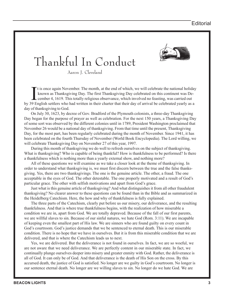

# Thankful In Conduct

Aaron J. Cleveland

It is once again November. The month, at the end of which, we will celebrate the national holida<br>known as Thanksgiving Day. The first Thanksgiving Day celebrated on this continent was De-<br>cember 4, 1619. This totally relig t is once again November. The month, at the end of which, we will celebrate the national holiday known as Thanksgiving Day. The first Thanksgiving Day celebrated on this continent was December 4, 1619. This totally religious observance, which involved no feasting, was carried out day of thanksgiving to God.

On July 30, 1623, by decree of Gov. Bradford of the Plymouth colonists, a three-day Thanksgiving Day began for the purpose of prayer as well as celebration. For the next 150 years, a Thanksgiving Day of some sort was observed by the different colonies until in 1789, President Washington proclaimed that November 26 would be a national day of thanksgiving. From that time until the present, Thanksgiving Day, for the most part, has been regularly celebrated during the month of November. Since 1941, it has been celebrated on the fourth Thursday of November (World Book Encyclopedia). The Lord willing, we will celebrate Thanksgiving Day on November 27 of this year, 1997.

During this month of thanksgiving we do well to refresh ourselves on the subject of thanksgiving. What is thanksgiving? Who is capable of being thankful? How is thankfulness to be performed? Is there a thankfulness which is nothing more than a yearly external show, and nothing more?

All of these questions we will examine as we take a closer look at the theme of thanksgiving. In order to understand what thanksgiving is, we must first discern between the true and the false thanksgiving. Yes, there are two thanksgivings. The one is the genuine article. The other, a fraud. The one acceptable in the eyes of God. The other detestable. The one properly motivated and a result of God's particular grace. The other with selfish motivations and apart from God's grace.

Just what is this genuine article of thanksgiving? And what distinguishes it from all other fraudulent thanksgiving? No clearer answer to these questions can be found than in the Bible and as summarized in the Heidelberg Catechism. Here, the how and why of thankfulness is fully explained.

The three parts of the Catechism, clearly put before us our misery, our deliverance, and the resulting thankfulness. And that is where true thankfulness begins, with the realization of how miserable a condition we are in, apart from God. We are totally depraved. Because of the fall of our first parents, we are willful slaves to sin. Because of our sinful natures, we hate God (Rom. 3:11). We are incapable of keeping even the smallest part of His law. We are sinners who are found guilty on every count in God's courtroom. God's justice demands that we be sentenced to eternal death. This is our miserable condition. There is no hope that we have in ourselves. But it is from this miserable condition that we are delivered, and that is where the Catechism leads us to next.

Yes, we are delivered. But the deliverance is not found in ourselves. In fact, we are so woeful, we are not aware that we need deliverance. We are perfectly content in our miserable state. In fact, we continually plunge ourselves deeper into misery and greater enmity with God. Rather, the deliverance is all of God. It can only be of God. And that deliverance is the death of His Son on the cross. By this accursed death, the justice of God is satisfied. No longer are we guilty in God's courtroom. No longer is our sentence eternal death. No longer are we willing slaves to sin. No longer do we hate God. We are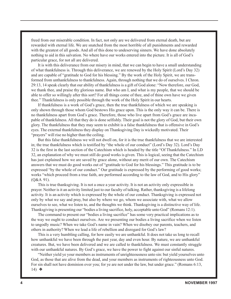freed from our miserable condition. In fact, not only are we delivered from eternal death, but are rewarded with eternal life. We are snatched from the most horrible of all punishments and rewarded with the greatest of all goods. And all of this done to undeserving sinners. We have done absolutely nothing to aid in this salvation. No where have our works entered into the picture. It is all of God's particular grace, for not all are delivered.

It is with this deliverance from our misery in mind, that we can begin to have a small understanding of what thankfulness is. Through this deliverance, we are renewed by the Holy Spirit (Lord's Day 32) and are capable of "gratitude to God for his blessing." By the work of the Holy Spirit, we are transformed from unthankfulness to thankfulness. Again, through nothing that we do of ourselves. I Chron. 29:13, 14 speak clearly that our ability of thankfulness is a gift of God alone: "Now therefore, our God, we thank thee, and praise thy glorious name. But who am I, and what is my people, that we should be able to offer so willingly after this sort? For all things come of thee, and of thine own have we given thee." Thankfulness is only possible through the work of the Holy Spirit in our hearts.

If thankfulness is a work of God's grace, then the true thankfulness of which we are speaking is only shown through those whom God bestows His grace upon. This is the only way it can be. There is no thankfulness apart from God's grace. Therefore, those who live apart from God's grace are incapable of thankfulness. All that they do is done selfishly. Their goal is not the glory of God, but their own glory. The thankfulness that they may seem to exhibit is a false thankfulness that is offensive in God's eyes. The external thankfulness they display on Thanksgiving Day is wickedly motivated. Their "prayers" will rise no higher than the ceiling.

But this false thankfulness we will not dwell on, for it is the true thankfulness that we are interested in; the true thankfulness which is testified by "the whole of our conduct" (Lord's Day 32). Lord's Day 32 is the first in the last section of the Catechism which is headed by the title "Of Thankfulness." In LD 32, an explanation of why we must still do good works is given. This is logical, seeing that the Catechism has just explained how we are saved by grace alone, without any merit of our own. The Catechism answers that we must do good works out of "gratitude to God for his blessings." This gratitude is to be expressed "by the whole of our conduct." Our gratitude is expressed by the performing of good works; works "which proceed from a true faith, are performed according to the law of God, and to His glory" (Q&A 91).

This is true thanksgiving. It is not a once a year activity. It is not an activity only expressible in prayer. Neither is it an activity limited just to our faculty of talking. Rather, thanksgiving is a lifelong activity. It is an activity which is expressed by the whole of our conduct. Thanksgiving is expressed not only by what we say and pray, but also by where we go, whom we associate with, what we allow ourselves to see, what we listen to, and the thoughts we think. Thanksgiving is a distinctive way of life. Thanksgiving is presenting our "bodies a living sacrifice, holy, acceptable unto God" (Romans 12:1).

The command to present our "bodies a living sacrifice" has some very practical implications as to the way we ought to conduct ourselves. Are we presenting our bodies a living sacrifice when we listen to ungodly music? When we take God's name in vain? When we disobey our parents, teachers, and others in authority? When we lead a life of rebellion and disregard for God's law?

This is a very humbling calling, for how easily we are unthankful. It does not take us long to recall how unthankful we have been through the past year, day and even hour. By nature, we are unthankful creatures. But, we have been delivered and we are called to thankfulness. We must constantly struggle with our unthankful natures. By God's grace, we have the power to fight against our sinful natures.

"Neither yield ye your members as instruments of unrighteousness unto sin: but yield yourselves unto God, as those that are alive from the dead, and your members as instruments of righteousness unto God. For sin shall not have dominion over you; for ye are not under the law, but under grace." (Romans 6:13, 14) ❖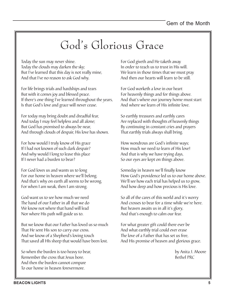# God's Glorious Grace

Today the sun may never shine. Today the clouds may darken the sky; But I've learned that this day is not really mine, And that I've no reason to ask God why.

For life brings trials and hardships and tears But with it comes joy and blessed peace. If there's one thing I've learned throughout the years, Is that God's love and grace will never cease.

For today may bring doubt and dreadful fear, And today I may feel helpless and all alone; But God has promised to always be near, And through clouds of despair, His love has shown.

For how would I truly know of His grace If I had not known of such dark despair? And why would I long to leave this place If I never had a burden to bear?

For God loves us and wants us to long For our home in heaven where we'll belong. And that's why on earth all seems to be wrong, For when I am weak, then I am strong.

God want us to see how much we need The hand of our Father in all that we do We know not where that hand will lead Nor where His path will guide us to.

But we know that our Father has loved us so much That He sent His son to carry our cross. And we know of a Shepherd's loving touch That saved all HIs sheep that would have been lost.

So when the burden is too heavy to bear, Remember the cross that Jesus bore. And then the burden cannot compare To our home in heaven forevermore.

For God giveth and He taketh away In order to teach us to trust in His will. We learn in those times that we must pray And then our hearts will learn to be still.

For God worketh a love in our heart For heavenly things and for things above. And that's where our journey home must start And where we learn of His infinite love.

So earthly treasures and earthly cares Are replaced with thoughts of heavenly things By continuing in constant cries and prayers That earthly trials always shall bring.

How wondrous are God's infinite ways; How much we need to learn of His love! And that is why we have trying days, So our eyes are kept on things above.

Someday in heaven we'll finally know How God's providence led us to our home above. We'll see how each trial has helped us to grow, And how deep and how precious is His love.

So all of the cares of this world and it's worry And crosses to bear for a time while we're here. But heaven awaits us in all it's glory, And that's enough to calm our fear.

For what greater gift could there ever be And what earthly trial could ever erase The love of a Father that has set us free, And His promise of heaven and glorious grace.

> by Anita J. Moore Bethel PRC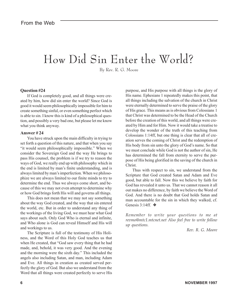# How Did Sin Enter the World?

By Rev. R. G. Moore

#### **Question #24**

If God is completely good, and all things were created by him, how did sin enter the world? Since God is good it would seem philosophically impossible for him to create something sinful, or even something perfect which is able to sin. I know this is kind of a philosophical question, and possibly a very bad one, but please let me know what you think anyway.

#### **Answer # 24**

You have struck upon the main difficulty in trying to set forth a question of this nature, and that when you say "it would seem philosophically impossible." When we consider the Sovereign God and the way He brings to pass His counsel, the problem is if we try to reason the ways of God, we really end up with philosophy which in the end is limited by man's finite understanding, and is always limited by man's imperfection. When we philosophize we are always limited to our finite minds to try to determine the end. Thus we always come short, and because of this we may not even attempt to determine why or how God brings forth His will and governs all things.

This does not mean that we may not say something about the way God created, and the way that sin entered the world, etc. But in order to understand any thing of the workings of the living God, we must hear what God says about such. Only God Who is eternal and infinite, and Who alone is God can reveal Himself and His will and workings to us.

The Scripture is full of the testimony of His Holiness, and the Word of this Holy God teaches us that when He created, that "God saw every thing that he had made, and, behold, it was very good. And the evening and the morning were the sixth day." This included the angels also including Satan, and man, including Adam and Eve. All things in creation as created served perfectly the glory of God. But also we understand from the Word that all things were created perfectly to serve His

purpose, and His purpose with all things is the glory of His name. Ephesians 1 repeatedly makes this point, that all things including the salvation of the church in Christ were eternally determined to serve the praise of the glory of His grace. This means as is obvious from Colossians 1 that Christ was determined to be the Head of the Church before the creation of this world, and all things were created by Him and for Him. Now it would take a treatise to develop the wonder of the truth of this teaching from Colossians 1:14ff, but one thing is clear that all of creation serves the coming of Christ and the redemption of His body from sin unto the glory of God's name. So that we must conclude while God is not the author of sin, He has determined the fall from eternity to serve the purpose of His being glorified in the saving of the church in Christ.

Thus with respect to sin, we understand from the Scripture that God created Satan and Adam and Eve good, but able to fall. Now this we believe by faith for God has revealed it unto us. That we cannot reason it all out makes no difference, by faith we believe the Word of God. And there is no doubt that God holds Satan and man accountable for the sin in which they walked, cf. Genesis 3:14ff. ❖

*Remember to write your questions to me at revmo@mtc1.mtcnet.net Also feel free to write follow up questions.*

 *Rev. R. G. Moore*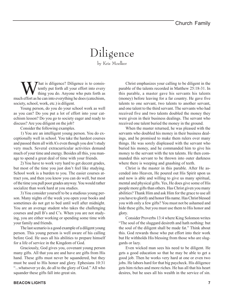## Diligence by Kris Moelker

What is diligence? Diligence is to consis-<br>tently put forth all your effort into every<br>thing you do. Anyone who puts forth as tently put forth all your effort into every thing you do. Anyone who puts forth as much effort as he can into everything he does (catechism, society, school, work, etc.) is diligent.

Young person, do you do your school work as well as you can? Do you put a lot of effort into your catechism lesson? Do you go to society eager and ready to discuss? Are you diligent on the job?

Consider the following examples.

1) You are an intelligent young person. You do exceptionally well in school. You take the hardest courses and passed them all with A's even though you don't study very much. Several extracurricular activities demand much of your time and energy. Besides all this, you manage to spend a great deal of time with your friends.

2) You have to work very hard to get decent grades, but most of the time you just don't feel like studying. School work is a burden to you. The easier courses attract you, and then you know you can do well, but most of the time you pull poor grades anyway. You would rather socialize than work hard at you studies.

3) You consider yourself to be a studious young person. Many nights of the week you open your books and sometimes do not get to bed until well after midnight. You are an average student who takes the challenging courses and pull B's and C's. When you are not studying, you are either working or spending some time with your family and friends.

The last scenario is a good example of a diligent young person. This young person is well aware of his calling before God. He uses all his abilities to prepare himself for a life of service in the Kingdom of God.

Graciously, God gives you, covenant young person many gifts. All that you are and have are gifts from His hand. These gifts must never be squandered, but they must be used to His honor and glory. Ephesians 10:31 "...whatsover ye do, do all to the glory of God." All who squander these gifts fall into great sin.

Christ emphasizes your calling to be diligent in the parable of the talents recorded in Matthew 25:18-31. In this parable, a master gave his servants his talents (money) before leaving for a far country. He gave five talents to one servant, two talents to another servant, and one talent to the third servant. The servants who had received five and two talents doubled the money they were given in their business dealings. The servant who received one talent buried the money in the ground.

When the master returned, he was pleased with the servants who doubled his money in their business dealings, and he promised to make them rulers over many things. He was sorely displeased with the servant who buried his money, and he commanded him to give his money to the servant with the ten talents. He then commanded this servant to be thrown into outer darkness where there is weeping and gnashing of teeth.

Christ is the master in this parable. After He ascended into Heaven, He poured out His Spirit upon us and now is able and willing to give us many spiritual, mental and physical gifts. Yes, He does give some of His people more gifts than others. Has Christ given you many abilities? Thank Him and ask Him for the grace to use all you have to glorify and honor His name. Has Christ blessed you with only a few gifts? You must not be ashamed and hide these gifts, but you must use them to His honor and glory.

Consider Proverbs 13:4 where King Solomon writes "The soul of the sluggard desireth and hath nothing: but the soul of the diligent shall be made fat." Think about this. God rewards those who put effort into their work but He withholds His blessing from those who are sluggards or lazy.

Even wicked man sees his need to be diligent. He gets a good education so that he may be able to get a good job. Then he works very hard at one or even two jobs. He labors hard for that big paycheck. His diligence gets him riches and more riches. He has all that his heart desires, but he uses all his wealth in the service of sin.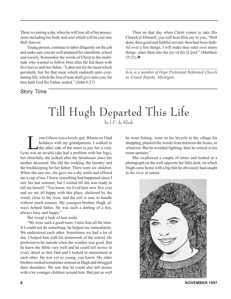There is coming a day when he will lose all of his possessions including his body and soul which will be cast into Hell forever.

Young person, continue to labor diligently on the job and make sure you are well prepared for catechism, school and society. Remember the words of Christ to the multitude who wanted to follow Him after He fed them with five loaves and two fishes. "Labor not for the meat which perisheth, but for that meat which endureth unto everlasting life, which the Son of man shall give unto you: for him hath God the Father sealed." (John 6:27)

Story Time

Then on that day when Christ comes to take His Church to Himself, you will hear Him say to you, "Well done, thou good and faithful servant: thou hast been faithful over a few things, I will make thee ruler over many things: enter thou into the joy of thy [L]ord." (Matthew  $25:21)$  ❖

*\_\_\_\_\_\_\_\_\_\_\_\_\_\_\_\_\_\_\_\_\_\_\_\_\_\_\_\_\_\_\_\_\_\_\_\_\_\_\_\_\_\_\_\_ Kris is a member of Hope Protestant Reformed Church in Grand Rapids, Michigan.*

# Till Hugh Departed This Life

by J.P. de Klerk

I ynn Gibson was a lovely girl. Whenever I had<br>holidays with my grandparents, I walked to<br>the other side of the moor to pay her a visit. holidays with my grandparents, I walked to Lynn was an invalid (she had a problem with her legs), but cheerfully she looked after the farmhouse since her mother deceased. She did the cooking, the laundry and the bookkeeping for her father. There were six children. When she saw me, she gave me a shy smile and offered me a cup of tea. I knew something had happened since I saw her last summer, but I waited till she was ready to tell me herself. "You know, we lived here now five year and we are all happy with this place, sheltered by the wood, close to the river, and the soil is easy to handle without much manure. My youngest brother, Hugh, always helped father. He was such a darling of a boy, always busy and happy."

She swept a lock of hair aside.

"We were such a good team. I miss him all the time. If I could not do something, he helped me immediately. We understood each other. Sometimes we had a lot of fun. I helped him with his homework of the school. He preferred to be outside when the weather was good. But he knew the Bible very well and he could tell stories in every detail so that Dad and I looked in amazement at each other. He was yet so young, you know. My elder brothers looked sometimes amused at Hugh and shrugged their shoulders. We saw that he could also tell stories with a lot younger children around him. But just as well

he went fishing, went on his bicycle to the village for shopping, plucked the weeds from between the beans, or whatever. But he avoided fighting; then he retired in his room upstairs."

She swallowed a couple of times and looked at a photograph on the wall opposite her little desk, on which Hugh came home with a big fish he obviously had caught in the river at sunset.



**8 NOVEMBER 1997**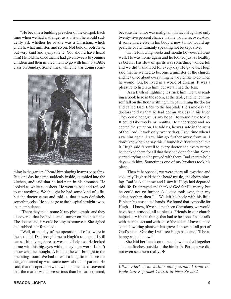"He became a budding preacher of the Gospel. Each time when we had a stranger as a visitor, he would suddenly ask whether he or she was a Christian, which church, what minister, and so on. Not bold or obtrusive, but very kind and sympathetic. You should have heard him! He told me once that he had given sweets to younger children and then invited them to go with him to a Bible class on Sunday. Sometimes, while he was doing some-



thing in the garden, I heard him singing hymns or psalms. But, one day he came suddenly inside, stumbled into the kitchen, and said that he had pain in his stomach. He looked as white as a sheet. He went to bed and refused to eat anything. We thought he had some kind of a flu, but the doctor came and told us that it was definitely something else. He had to go to the hospital straight away, in an ambulance.

"There they made some X-ray photographs and they discovered that he had a small tumor on his intestines. The doctor said, it would be easy to remove it. She sighed and rubbed her forehead.

"Well, at the day of the operation all of us were in the hospital. Dad brought me to Hugh's room and I still can see him lying there, so weak and helpless. He looked at me with his big eyes without saying a word. I don't know what he thought. A bit later he was brought to the operating room. We had to wait a long time before the surgeon turned up with some news about his patient. He said, that the operation went well, but he had discovered that the matter was more serious than he had expected,

because the tumor was malignant. In fact, Hugh had only twenty-five percent chance that he would recover. Also, if somewhere else in his body a new tumor would appear, he could humanly speaking not be kept alive.

"In the following weeks and months however all went well. He was home again and he looked just as healthy as before. His flow of spirits was something wonderful, and we did thank God for every day He gave us. Hugh said that he wanted to become a minister of the church, and he talked about everything he would like to do when he would. Oh, he lived in a world of dreams. It was a pleasure to listen to him, but we all had the fear.

"As a flash of lightning it struck him. He was reading a book here in the room, at the table, and he let himself fall on the floor writhing with pain. I rang the doctor and called Dad. Back to the hospital. The same day the doctors told us that he had got an abscess in his liver. They could not give us any hope. He would have to die. It could take weeks or months. He understood and accepted the situation. He told us, he was safe in the arms of the Lord. It took only twenty days. Each time when I saw him again, I saw him go further away from us. I don't know how to say this. I found it difficult to believe it. Hugh said farewell to every doctor and every nurse; he thanked them for all that they had done for him. Some started crying and he prayed with them. Dad spent whole days with him. Sometimes one of my brothers took his place.

"Then it happened, we were there all together and suddenly Hugh said that he heard music, and choirs singing. Dad looked at me and I saw it: Hugh had departed this life. Dad prayed and thanked God for His mercy, but he could not go further. A doctor took over, then my eldest brother, then I… We left his body with his little Bible in his emaciated hands. We found that symbolic for Hugh… I know, if we had not been Christians, we would have been crushed, all to pieces. Friends in our church helped us with the things that had to be done. I had a talk with the minister and with one of the elders. I have planted some flowering plants on his grave. I know it is all part of God's plans. One day I will see Hugh back and I'll be as happy as he is now."

She laid her hands on mine and we looked together at some finches outside at the birdbath. Perhaps we did not even see them really. ❖

*\_\_\_\_\_\_\_\_\_\_\_\_\_\_\_\_\_\_\_\_\_\_\_\_\_\_\_\_\_\_\_\_\_\_\_\_\_\_\_\_\_\_ J.P.de Klerk is an author and journalist from the Protestant Reformed Church in New Zeeland.*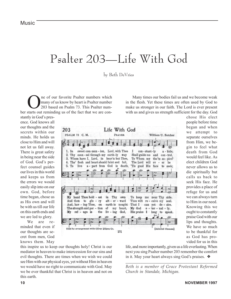# Psalter 203—Life With God

#### by Beth DeVries

The of our favorite Psalter numbers which<br>many of us know by heart is Psalter number<br>203 based on Psalm 73. This Psalter nummany of us know by heart is Psalter number 203 based on Psalm 73. This Psalter number starts out reminding us of the fact that we are con-

Many times our bodies fail us and we become weak in the flesh. Yet these times are often used by God to make us stronger in our faith. The Lord is ever present with us and gives us strength sufficient for the day. God

stantly in God's presence. God knows all our thoughts and the secrets within our minds. He holds us close to Him and will not let us fall away. There is great safety in being near the side of God. God's perfect counsel guides our lives in this world and keeps us from the errors we would easily slip into on our own. God, before time began, chose us as His own and will be with us till our life on this earth ends and we are led to glory.

We are reminded that even if our thoughts are secret from men, God knows them. May



chose His elect people before time began and when we attempt to separate ourselves from Him, we begin to feel what death from God would feel like. As elect children God never allows us to die spiritually but calls us back to seek His face. He provides a place of refuge for us and we can always turn to Him in our need. Knowing this we ought to constantly praise God with our lips and thoughts. We have so much to be thankful for as God has provided for us in this

this inspire us to keep our thoughts holy! Christ is our mediator in heaven to make intercession for our sins and evil thoughts. There are times when we wish we could see Him with our physical eyes, yet without Him in heaven we would have no right to communicate with God. May we be ever thankful that Christ is in heaven and not on this earth.

life, and more importantly, given us a life everlasting. When next you sing Psalter number 203 remember the comfort in it. May your heart always sing God's praises. ❖

*Beth is a member of Grace Protestant Reformed Church in Standale, Michigan.*

*\_\_\_\_\_\_\_\_\_\_\_\_\_\_\_\_\_\_\_\_\_\_\_\_\_\_\_\_\_\_\_\_\_\_\_\_\_\_\_\_\_\_\_*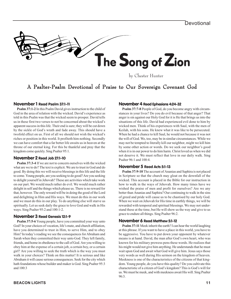

by Chester Hunter

## A Psalter-Psalm Devotional of Praise to Our Sovereign Covenant God

#### November 1 Read Psalm 37:1-11

**Psalm 37:1-2** In this Psalm David gives instruction to the child of God in the area of relation with the wicked. David's experience as told in this Psalm was that the wicked seem to prosper. David tells us in these first two verses to not be concerned about the wicked's apparent success in this life. Their end is sure; they will be cut down by the sickle of God's wrath and fade away. This should have a twofold effect on us. First of all we should not wish the wicked's riches or position in this world. It profiteth him nothing. Secondly we can have comfort that a far better life awaits us in heaven at the throne of our eternal king. For this be thankful and pray that the kingdom come quickly. Sing Psalter 95:1.

#### November 2 Read Job 27:1-10

**Psalm 37:3-4** If we are not to concern ourselves with the wicked what are we to do? The text is explicit. We are to trust in God and do good. By doing this we will receive blessings in this life and the life to come. Young people, are you seeking to do good? Are you seeking to delight yourself in Jehovah? These are activities which take work on our part. We would much rather do evil. We would much rather delight in self and the things which please us. There is no reward for that, however. The only reward will be in doing the good of the Lord and delighting in Him and His ways. We must do this in our work and we must do this in our play. To do anything else will starve us spiritually. Let us seek daily the grace to love God and walk in His ways. Sing Psalter 95:2 and 100:1-2.

#### November 3 Read Genesis 12:1-9

**Psalm 37:5-6** Young people, have you committed your way unto God? In your choices of vocation, life's mate, and church affiliation, have you determined to trust in Him, to serve Him, and to obey Him? In today's reading we see the consequences for Abraham and Sarah when they committed their way unto God. They left family, friends, and home in obedience to the call of God. Are you willing to obey him at the expense of a certain job, a certain boy, or a certain girl? Are you willing to seek the truth which is the way you must walk in your choices? Think on this matter! It is serious and like Abraham it will cause serious consequences. Seek for the city which hath foundations whose builder and maker is God. Sing Psalter 95:3 and 100:3

#### November 4 Read Ephesians 4:24-32

**Psalm 37:7-8** People of God, do you become angry with circumstances in your lives? Do you do evil because of that anger? That anger is sin against our Holy God for it is He that brings us into the situations of this life. David had experienced evil done to him by wicked men. Think of his experiences with Saul, with the men of Keilah, with his sons. He knew what it was like to be persecuted. When he had a chance to kill Saul, he would not because it was not the will of God. We, too, may be in similar circumstances. While we may not be tempted to literally kill our neighbor, might we kill him by some other action or words. Do we seek our neighbor's good when it is in our power to do him harm. Christ loved us when we did not deserve it. We must reflect that love in our daily walk. Sing Psalter 96:1 and 100:4.

#### November 5 Read Acts 5:1-13

**Psalm 37:9-10** The account of Ananias and Saphira is not placed in Scripture so that the church may gloat on the downfall of the wicked. This account is placed in the Bible for our instruction in how to walk in the ways of Jehovah. How many times have we wished the praise of men and profit for ourselves? Are we any better than Ananias and Saphira? Our continuing to walk in the sins of greed and pride will cause us to be chastised by our holy God. When we wait on Jehovah for His time in earthly things, we will be rewarded with temporal and spiritual blessings. We may not understand these at the time, but He will show us the way and give to us grace to endure all things. Sing Psalter 96:2.

#### November 6 Read Matthew 5:1-12

**Psalm 37:11** Meek inherit the earth? I can hear the world laughing at this phrase. If you want to have a place in this world, you have to be aggressive. You have to put down your opponent by whatever means is at hand. David, the man after God's own heart, who was known for his military prowess pens these words. He realizes that his might would not give him anything. He understands that he must wait upon God and await what God will give him. Jesus says those very words as well during His sermon on the kingdom of heaven. Meekness is one of the characteristics of the citizens of that kingdom. Young people, do you have this quality? Do you cultivate this characteristic of a citizen of God's kingdom? This is God's will for us. We must be meek, and with meekness await His will. Sing Psalter 96:3.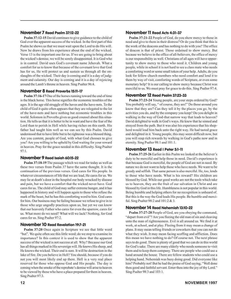#### November 7 Read Psalm 37:12-22

**Psalm 37:12-15** David continues to give guidance to the child of God over the apparent success of the wicked. In the first part of this Psalm he shows us that we must wait upon the Lord to do His will. Now he draws from his experience about the end of the wicked. Verse 13 is the important one for us. If we are going to bring about the wicked's demise, we will be sorely disappointed. It is God who is in control. David uses God's covenant name Jehovah. What a comfort for us to know that because of the covenant love that God has for us, He will protect us and sustain us through all the onslaughts of the wicked. Their day is coming and it is a day of judgment and calamity. Our day is coming and it is a day of rejoicing around the Lamb's throne in heaven. Sing Psalter 96:4.

#### November 8 Read Proverbs 15:11-17

**Psalm 37:16-17** One of the horses running toward the end of time is the black horse. This horse signifies the economic troubles of the ages. It is the age old struggle of the haves and the have-nots. To the child of God it quite often appears that they are relegated to the lot of the have-nots and have nothing but economic troubles in this world. Solomon in Proverbs gives us good counsel about this situation. He tells us that it is better to be in want and have the fear of the Lord than to perish in Hell while having riches on this earth. His father had taught him well as we can see by this Psalm. David understood that to have little but to be righteous was a blessed thing. Are you content, people of God, with what God chooses to give you? Are you willing to be upheld by God waiting for your reward in heaven. Pray for the grace needed in this difficulty. Sing Psalter  $97.1$ 

#### November 9 Read Isaiah 60:15-22

**Psalm 37:18-19** The passage which we read for today as well as these two verses from Psalm 37 have the same thought. It is the continuation of the previous verses. God cares for His people. In whatever circumstances of life that we are lead, He cares for us. We may lie at death's door in the hospital our body wracked by disease and pain, but we have a comfort that the wicked never have. God cares for us. The child of God may suffer extreme hunger, and it has happened in history and will happen again to those who refuse the mark of the beast, but he has this comforting word to him. God cares for him. Our business may be failing because we refuse to give in to those who urge ungodly practices upon us, but yet we can know that our heavenly Father who cares for even the sparrow, cares for us. What more do we need? What will we lack? Nothing, for God cares for us. Sing Psalter 97:2.

#### November 10 Read Revelation 19:7-21

**Psalm 37:20** Once again in Scripture we see that little word "but". We quite often see this little word; do we stop to examine its importance? In this context it is used to show that the apparent success of the wicked is not success at all. Why? Because our God has all things marked in His sovereign will. He knows His sheep, and He knows the wicked. Their end is sure. It will be destruction in the lake of fire. Do you believe in Hell? You should, because if you do not you will most likely end up there. Hell is a very real place reserved for those who oppose God and His people. The day is coming when the smoke of the reprobate's demise will arise to heaven to be viewed by those who have a place prepared for them in heaven. Sing Psalter 97:3.

#### November 11 Read Acts 4:31-37

**Psalm 37:21-22** People of God, do you show mercy to those in need and give to them in their distress? Or do you think that this is the work of the deacons and has nothing to do with you? The office of deacon is that of priest. Those ordained to show mercy. But because we believe in the office of all-believers, the office of mercy is our responsibility as well. Christians of all ages will have opportunity to show mercy to those who need it. Children and young people, while in school it is not hard to see a class mate who needs a comforting word or some small token of your help. Adults, do you look for fellow church members who need comfort and lend it to them by way of visit, comforting words of Scripture, or even some monetary help? It is our calling to show mercy because Christ was merciful to us. We must pray for grace to do this. Sing Psalter 97:4.

#### November 12 Read Psalm 37:23-33

**Psalm 37:23-24** Young people, are your steps ordered by God? You probably will say, " of course, they are!" Do those around you know that they are? Can they tell it by the places you go, by the activities you do, and by the company you keep? Do you delight in walking in the way of God-that narrow way that leads to heaven? David delighted to walk in God's ways. He knew that he sinned and strayed from the path. But it was also his experience that his shepherd would lead him back unto the right way. He had tasted grace and delighted in it. Young people, this may seem difficult now, but you will reap rich rewards by walking in God's paths now and in eternity. Sing Psalter 98:1 and 101:1.

#### November 13 Read I Peter 5:1-11

**Psalm 37:25-26** Earlier in this Psalm we looked at the believer's duty to be merciful and help those in need. David's experience is that because God is merciful, the people of God are not in need. By nature we do not want to help those who have needs. We want to be greedy and selfish. That same person is also merciful. He, too, lends to those who have needs. What is his reward? His children are blessed by God. While our good works are not the tools which take us to heaven, they are the fruit of our salvation in Christ and are blessed by God in this life. Humbleness is not popular in this world. Being humble and helping others for no recognition is unheard of. But this is the way the God leads His people. Be humble and merciful. Sing Psalter 98:2 and 101:2 & 3.

#### November 14 Read Nehemiah 13:10-22

**Psalm 37:27-28** People of God, are you obeying the command, "depart from evil"? Are you fleeing the old man of sin and cleaving unto the man of righteousness. Evil is all around us. We find it at work, at school, and at play. Fleeing from it may mean a change of plans. It may mean telling friends or coworkers that you can not do what they wish. It may mean facing scoffing and affliction. Does this mean we have nothing to do? Of course not. The next phrase says to do good. There is plenty of good that we can do in this world for God's sake. There are many elderly who needs someone to visit them and to keep them company. There are people who could use a hand around the house. There are fellow students who could use a helping hand. Nehemiah was busy doing good. Did everyone like him? Probably not! But he had the praise of God saying, "Well done thou good and faithful servant. Enter thou into the joy of thy Lord." Sing Psalter 98:3 and 103:1.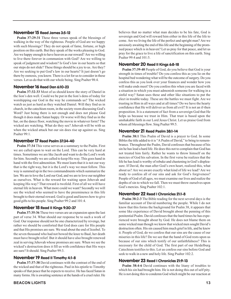#### November 15 Read James 3:5-12

**Psalm 37:29-31** These three verses speak of the blessings of walking in the way of the righteous. People of God are we happy with such blessings? They do not speak of fame, fortune, or high position on this earth. But they speak of the works pleasing to God. Are we happy enough to have heaven as our reward? Are we willing to live there forever in communion with God? Are we willing to speak of judgment and wisdom? Is God's law in our hearts so that our steps do not slide? These things should be a joy to us. Are they? Are we seeking to put God's law in our hearts? It just doesn't go there by osmosis, you know. There is a lot for us to consider in these verses. Let us do that with our whole being. Sing Psalter 98:4.

#### November 16 Read Dan 6:10-23

**Psalm 37:32-33** Most of us should know the story of Daniel in the lion's den well. Could we be put in the lion's dens of today for worshipping our God in the way he commands us? The wicked watch us just as hard as they watched Daniel. Will they find us in church, in the catechism room, in the society room discussing God's Word? Just being there is not enough and does not please God though it does make Satan happy. Or worse will they find us in the bar, on the dance floor, watching the movie in whatever form? The wicked are watching. What do they see? Jehovah will be with us when the wicked attack but our sin does rise up against us. Sing Psalter 99:1.

#### November 17 Read Psalm 37:34-40

**Psalm 37:34** This verse serves as a summary to the Psalm. First we are called upon to wait on the Lord. This can be very hard at times. Sometimes we are like Jacob and want to do the Lord's work for him. Secondly we are called to keep His way. This goes hand in hand with the first admonition. We must learn that it is not our way that is the right way, but it is the Lord's way we must follow. This way is summed up in the two commandments which summarize the law. We are to love the Lord our God, and we are to love our neighbor as ourselves. What is the reward for waiting upon Jehovah and keeping His way? That reward is twofold. First of all we will have eternal life in heaven. What more could we want? Secondly we will see the wicked who seemed to have the preeminence in this life brought to their eternal reward. God is good and knows how to give good gifts to his people. Sing Psalter 99:2 and 101:4.

#### November 18 Read II Kings 9:30-37

**Psalm 37:35-36** These two verses are an expansion upon the last part of verse 34. What should our response be to such a work of God. Our response should not be one characterized by revenge, but rather we should be comforted that God does care for His people and that His promises are sure. We read about the end of Jezebel. To the seven thousand who had not bowed the knee to Baal, her death must have brought relief. But it should have also brought renewed zeal in serving Jehovah whose promises are sure. When we see the wicked's destruction does it fill us with confidence that His ways are sure? It should. Sing Psalter 99:3.

#### November 19 Read II Timothy 4:1-8

**Psalm 37:37-38** David continues with the contrast of the end of the wicked and that of the righteous. Paul in his epistle to Timothy speaks of that peace that he expects to receive. He has faced Satan in many forms. He is awaiting sentence at the hands of a cruel ruler. He

believes that no matter what man decides to be his fate, God is sovereign and God will reward him either in this life of the life to come. Are we living the life of the perfect and upright man? Are we anxiously awaiting the end of this life and the beginning of the promised peace which is in heaven? Let us pray for that peace, and let us pray for the grace to live a life of sanctification on this earth. Sing Psalter 99:4 and 101:5.

#### November 20 Read II Kings 6:8-18

**Psalm 37:39-40** People of God, do you believe that God is your strength in times of trouble? Do you confess this as you lie on the hospital bed wondering what will be the outcome of surgery. Do you confess this as you look over your finances and wonder how you will make ends meet? Do you confess this when you are faced with a situation in which you must admonish someone for walking in a sinful way? Satan uses these and other like situations to put the elect in trouble today. These are the battles we must fight. Are we trusting in Him in all ways and at all times? Do we have the hearty confidence that He will deliver us from all evil? It is not an if-then proposition. It is a statement of fact from a sovereign God that He helps us because we trust in Him. That trust is based upon the unshakable faith in our Lord Jesus Christ. Let us praise God from whom all blessings flow. Sing Psalter 99:5.

#### November 21 Read Psalm 38:1-14

**Psalm 38:1** This Psalm of David is a prayer to God. In some Bibles the title added to it is "A Psalm of David," to bring to remembrance. Throughout the Psalm, David confesses that because of his sin he has lead a hard life. He does this not to complain that God has not treated him fairly. Rather he wants to throw himself on the mercies of God his salvation. In the first verse he realizes that the life he has lead is worthy of rebuke and chastening in God's displeasure. If David, the man after God's own heart, realized this, what about us? Are we aware exactly what kind of life we lead? Are we ready to confess all of our sins and ask for God's forgiveness? People of God of all ages, we must examine our lives and realize the depths of sin to which we fall. Then we must throw ourselves upon God's mercies. Sing Psalter 102:1.

#### November 22 Read I Chronicles 21:1-8

**Psalm 38:2-3** The Bible reading for the next several days is the familiar account of David numbering the people. While I do not know that this forms the background for Psalm 38, it appears that some like experience of David brought about the penning of this penitential Psalm. David confesses that the hard times he has experienced were brought about by God. He does not blame them on some wicked man though we know that wicked men sought David's destruction often. His sin caused him much grief in life, and he knew it. People of God, do we confess that our sins are the cause of our miseries in this life? Do we see that the hand of God rests upon us because of our sins which testify of our unfaithfulness? This is necessary for the child of God. The first part of our Heidelburg Catechism testifies to this. Let us confess our sins before God and seek to walk in a new and holy life. Sing Psalter 102:2.

#### November 23 Read I Chronicles 21:9-13

**Psalm 38:4-6** David continues with the litany of troubles to which his sin had brought him. He is not doing this out of self pity. He is not doing this to condemn God which might be our reaction at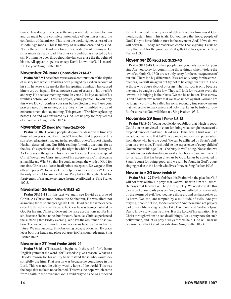times. He is doing this because the only way of deliverance for him and us must be the complete knowledge of our misery and the confession of that misery. This is not the works righteousness of the Middle Age monk. This is the way of salvation ordained by God. Notice the words David uses to express the depths of his misery. He sinks under its heavy load. His physical condition is affected by his sin. Nothing he does throughout the day can erase the thoughts of his sin. All appears hopeless, except David knows his God is merciful. Do you? Sing Psalter 102:3.

#### November 24 Read I Chronicles 21:14-17

**Psalm 38:7-9** These three verses are a continuation of the depths of misery into which David has been plunged by God on account of his sin. In verse 8, he speaks that his spiritual condition has caused him to cry out in pain. He cannot see a way of escape in his own life and way. He needs something more. In verse 9, he lays out all of his troubles before God. This is a prayer, young people. Do you pray this way? Do you confess your sins before God in prayer? Are your prayers specific in nature, or are they a few mumbled words of embarrassment that say nothing. This prayer of David was pleasing before God and was answered by God. Let us pray for forgiveness of all our sins. Sing Psalter 102:4.

#### November 25 Read Matthew 26:27-56

**Psalm 38:10-11** Young people, do you feel deserted at times by those whom you account as friends? David had that experience. His son rebelled against him, and in that rebellion one of his best friends, Hushai, deserted him. Our Bible reading for today accounts for us the Jesus's experience during the night in which He was betrayed. As He prays in the garden, his inner circle sleeps. David is a type of Christ. We can see Christ in some of his experiences. Christ became a man like us. Why? So that He could undergo the wrath of God for our sins. Christ was like us in all points except sin. Do we go to Him often in prayer? Do we seek the help of our elder brother? This is the only way out for sinners like us. Pray to God through Christ for forgiveness of sin and experience the mercy afforded us. Sing Psalter 102:5.

#### November 26 Read Mark 15:53-62

**Psalm 38:12-14** In this text we again see David as a type of Christ. As Christ stood before the Sanhedren, He was silent not answering the false charges against Him. David had the same experience. He did not answer because he knew he was being chastised by God for his sin. Christ underwent the false accusations not for His sin, because He had none, but for ours. Because Christ experienced the suffering that Friday evening, we have the assurance of salvation. The wicked will mock us and accuse us falsely now and in the future. We must undergo this chastening because of our sin. By grace let us bow our heads and place our trust in Christ our redeemer. Sing Psalter 102:5.

#### November 27 Read Psalm 38:15-22

**Psalm 38:15-16** This section begins with the word "for". In our English grammar the word "for" is used to give a reason. What was David's reason for his ability to withstand those who would despitefully use him. That reason was because he could hope in the Lord. This was not the wishy-washly hope of the world. This was the hope that maketh not ashamed. This was the hope which came from a faith in the covenant God. David prayed as he was mocked for he knew that the only way of deliverance for him was if God would sustain him in his trials. Do you have that hope, people of God? Do you have faith to trust in the covenant God? If we do, we will never fall. Today, we readers celebrate Thanksgiving. Let us be truly thankful for the good spiritual gifts God has given us. Sing Psalter 103:1.

#### November 28 Read Job 31:33-40

**Psalm 38:17-18** Christian people, are you truly sorry for your sin? Are you sorry for committing those things which violate the law of our holy God? Or are we only sorry for the consequences of our sin? There is a big difference. If we are only sorry for the consequences, we will sin again but try not to be caught in our sin. Look at those who abuse alcohol or drugs. Their sorrow is only because they may be caught by the law. They will look for ways to avoid the law while indulging in their lusts. We can be no better. True sorrow is first of all that we realize that we have sinned against God and are no longer worthy to be called his sons. Secondly true sorrow means that we resolve to walk a new and holy life. Let us be truly sorrowful for our sins; God will bless us. Sing Psalter 103:2.

#### November 29 Read I Peter 3:8-18

**Psalm 38:19-20** Young people, do you follow that which is good. Could you be convicted in court for doing what is right because of a preponderance of evidence. David was. Daniel was. Christ was. Can we add our name to that list? If we can, we must expect persecution from those who hate the good. We can be afflicted by Satan's children on every side. This should be the experience of every child of God no matter his age. Let us be busy in well doing. Not so that we can obtain our salvation by our works, but because we are thankful for salvation that has been given us by God. Let us be convicted in Satan's court for doing good, and we will be found in God's court singing praise to the Lamb who lives for ever. Sing Psalter 103:3.

#### November 30 Read Isaiah 12

**Psalm 38:21-22** David finishes this Psalm with the plea that God will not forsake him. He prays that God will be with him at all times. He prays that Jehovah will help him quickly. We need to make this plea a part of our daily prayers. We, too, are buffeted on every side by the storms of evil. We, too, have those around us that seek to do us harm. We, too, are tempted by a multitude of evils. Are you praying, people of God, for deliverance? Are these kinds of prayers part of your life, young people? Like David we need God to help us. David knows to whom he prays. It is the Lord of his salvation. It is Christ through whom he can do all things. Let us pray now for such deliverance, and let us pray always for this help. God will hear us because he is the God of our salvation. Sing Psalter 103:4.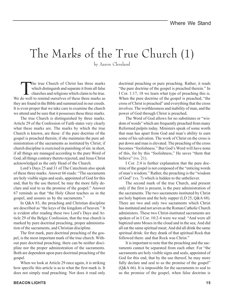# The Marks of the True Church (1)

by Aaron Cleveland

The true Church of Christ has three marks<br>which distinguish and separate it from all false<br>churches and religions which claim to be true. which distinguish and separate it from all false We do well to remind ourselves of these three marks as they are found in the Bible and summarized in our creeds. It is even proper that we take care to examine the church we attend and be sure that it possesses these three marks.

The true Church is distinguished by three marks. Article 29 of the Confession of Faith states very clearly what these marks are. The marks by which the true Church is known, are these: if the pure doctrine of the gospel is preached therein; if she maintains the pure administration of the sacraments as instituted by Christ; if church discipline is exercised in punishing of sin: in short, if all things are managed according to the pure Word of God, all things contrary thereto rejected, and Jesus Christ acknowledged as the only Head of the Church.

Lord's Days 25 and 31 of The Catechism also speak of these three marks. Answer 66 reads: "The sacraments are holy visible signs and seals, appointed of God for this end, that by the use thereof, he may the more fully declare and seal to us the promise of the gospel." Answer 67 reminds us that "the Holy Ghost teaches us in the gospel, and assures us by the sacraments."

In Q&A 83, the preaching and Christian discipline are described as "the keys of the kingdom of heaven." It is evident after reading these two Lord's Days and Article 29 of the Belgic Confession, that the true church is marked by pure doctrinal preaching, proper administration of the sacraments, and Christian discipline.

The first mark, pure doctrinal preaching of the gospel, is the most important mark of the true church. Without pure doctrinal preaching, there can be neither discipline nor the proper administration of the sacraments. Both are dependent upon pure doctrinal preaching of the gospel.

When we look at Article 29 once again, it is striking how specific this article is as to what the first mark is. It does not simply read preaching. Nor does it read only

doctrinal preaching or pure preaching. Rather, it reads "the pure doctrine of the gospel is preached therein." In I Cor. 1:17, 18 we learn what type of preaching this is. When the pure doctrine of the gospel is preached, "the cross of Christ is preached" and everything that the cross involves. The worthlessness and inability of man, and the power of God through Christ is preached.

The Word of God allows for no substitutes or "wisdom of words" which are frequently preached from many Reformed pulpits today. Ministers speak of some worth that man has apart from God and man's ability to earn some of his salvation. The work of Christ on the cross is put down and man is elevated. The preaching of the cross becomes "foolishness." But God's Word will have none of this, for by this "foolishness," He saves "them that believe" (vs. 21).

I Cor. 2:4 is further explanation that the pure doctrine of the gospel is not composed of the "enticing words of man's wisdom." Rather, the preaching is the "wisdom of God" (vs. 7) which is hidden to the unbeliever.

The second mark of the true Church, and present only if the first is present, is the pure administration of the sacraments. The two sacraments instituted by Christ are holy baptism and the holy supper (LD 25, Q&A 68). There are two and only two sacraments which Christ has instituted and not seven as the Roman Catholic Church administers. These two Christ-instituted sacraments are spoken of in I Cor. 10:2-4 were we read: "And were all baptized unto Moses in the cloud and in the sea; And did all eat the same spiritual meat; And did all drink the same spiritual drink: for they drank of that spiritual Rock that followed them: and that Rock was Christ."

It is important to note that the preaching and the sacraments cannot be separated from each other. For "the sacraments are holy visible signs and seals, appointed of God for this end, that by the use thereof, he may more fully declare and seal to us the promise of the gospel" (Q&A 66). It is impossible for the sacraments to seal to us the promise of the gospel, when false doctrine is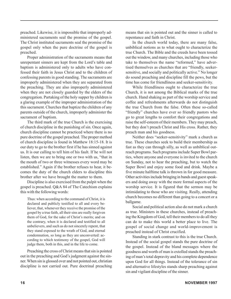preached. Likewise, it is impossible that improperly administered sacraments seal the promise of the gospel. The Christ instituted sacraments seal the promise of the gospel only when the pure doctrine of the gospel is preached.

Proper administration of the sacraments means that unrepentant sinners are kept from the Lord's table and baptism is administered only to adults who have confessed their faith in Jesus Christ and to the children of confessing parents in good standing. The sacraments are improperly administered when they are separated from the preaching. They are also improperly administered when they are not closely guarded by the elders of the congregation. Partaking of the holy supper by children is a glaring example of the improper administration of the this sacrament. Churches that baptize the children of any parents outside of the church, improperly administer the sacrament of baptism.

The third mark of the true Church is the exercising of church discipline in the punishing of sin. Once again, church discipline cannot be practiced where there is no pure doctrine of the gospel preached. The proper method of church discipline is found in Matthew 18:15-18. It is our duty to go to the brother first if he has sinned against us. It is our calling to tell him of his fault. If he will not listen, then we are to bring one or two with us, "that in the mouth of two or three witnesses every word may be established." Again if the brother refuses to hear, it becomes the duty of the church elders to discipline this brother after we have brought the matter to them.

Discipline is also exercised from the pulpit when the gospel is preached. Q&A 84 of The Catechism explains this with the following words:

Thus: when according to the command of Christ, it is declared and publicly testified to all and every believer, that, whenever they receive the promise of the gospel by a true faith, all their sins are really forgiven them of God, for the sake of Christ's merits; and on the contrary, when it is declared and testified to all unbelievers, and such as do not sincerely repent, that they stand exposed to the wrath of God, and eternal condemnation, so long as they are unconverted: according to which testimony of the gospel, God will judge them, both in this, and in the life to come.

Preaching the cross of Christ means that sin is pointed out in the preaching and God's judgment against the sinner. When sin is glossed over and not pointed out, christian discipline is not carried out. Pure doctrinal preaching

means that sin is pointed out and the sinner is called to repentance and faith in Christ.

In the church world today, there are many false, unbiblical notions as to what ought to characterize the true Church. The Bible and the creeds have been tossed out the window, and many churches, including those who take to themselves the name "reformed," have advertised themselves as churches that are "friendly, seekersensitive, and socially and politically active." No longer do sound preaching and discipline fill the pews, but the time has come for friendliness and seeker-sensitivity.

While friendliness ought to characterize the true Church, it is not among the Biblical marks of the true church. Hand shaking as part of the worship service and coffee and refreshments afterwards do not distinguish the true Church from the false. Often these so-called "friendly" churches have ever so friendly pastors who go to great lengths to comfort their congregations and raise the self-esteem of their members. They may preach, but they don't preach Christ and His cross. Rather, they preach man and his goodness.

Neither does "seeker-sensitivity" mark a church as true. These churches seek to build their membership as fast as they can through silly, as well as unbiblical outreach programs. Such programs include Super Bowl parties, where anyone and everyone is invited to the church on Sunday, not to hear the preaching, but to watch the Super Bowl and enjoy some food and drink. Maybe a five minute halftime talk is thrown in for good measure. Other activities include bringing in bands and guest speakers and doing away with the more formal aspects of the worship service. It is figured that the sermon may be intimidating to those who are visiting. Really, attending church becomes no different than going to a concert or a ballgame.

Social and political action also do not mark a church as true. Ministers in these churches, instead of preaching the Kingdom of God, tell their members to do all they can do to make this world a better place to live. The gospel of social change and world-improvement is preached instead of Christ crucified.

Standing in stark contrast to this is the true Church. Instead of the social gospel stands the pure doctrine of the gospel. Instead of the bland messages where the goodness and worth of man is extolled stands the preaching of man's total depravity and his complete dependence upon God for all things. Instead of the tolerance of sin and alternative lifestyles stands sharp preaching against sin and vigilant discipline of the sinner.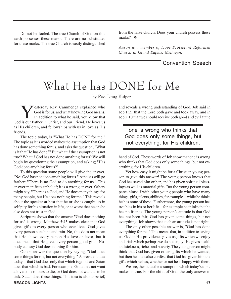Do not be fooled. The true Church of God on this earth possesses these marks. There are no substitutes for these marks. The true Church is easily distinguished

from the false church. Does your church possess these marks? ❖

*\_\_\_\_\_\_\_\_\_\_\_\_\_\_\_\_\_\_\_\_\_\_\_\_\_\_\_\_\_\_\_\_\_\_\_\_\_\_\_\_\_\_\_\_ Aaron is a member of Hope Protestant Reformed Church in Grand Rapids, Michigan.*

### Convention Speech

# What He has DONE for Me

by Rev. Doug Kuiper

Yesterday Rev. Cammenga explained who<br>God is for us, and what knowing God means.<br>In addition to what he said, you know that God is for us, and what knowing God means. In addition to what he said, you know that God is our Father in Christ, and our Friend. He loves us as His children, and fellowships with us in love as His friends.

The topic today, is "What He has DONE for me." The topic as it is worded makes the assumption that God has done something for us, and asks the question, "What is it that He has done?" But what if the assumption is not true? What if God has not done anything for us? We will begin by questioning the assumption, and asking; "Has God done anything for us?"

To this question some people will give the answer, "No; God has not done anything for us." Atheists will go farther: "There is no God to do anything for us." This answer manifests unbelief; it is a wrong answer. Others might say, "There is a God, and He does many things for many people, but He does nothing for me." This reveals about the speaker at best that he or she is caught up in self pity for his situation in life, or at worst that he or she also does not trust in God.

Scripture shows that the answer "God does nothing for us" is wrong. Matthew 5:45 makes clear that God gives gifts to every person who ever lives: God gives every person sunshine and rain. No, this does not mean that He shows every person His love or favor; but it does mean that He gives every person good gifts. Nobody can say God does nothing for him.

Others answer the question by saying, "God does some things for me, but not everything." A prevalent idea today is that God does only that which is good, and Satan does that which is bad. For example, God does not want a loved one of ours to die, or God does not want us to be sick. Satan does these things. This idea is also unbelief,

and reveals a wrong understanding of God. Job said in Job 1:21 that the Lord both gave and took away, and in Job 2:10 that we should receive both good and evil at the

### one is wrong who thinks that God does only some things, but not everything, for His children.

hand of God. These words of Job show that one is wrong who thinks that God does only some things, but not everything, for His children.

Yet how easy it might be for a Christian young person to give this answer! The young person knows that God has saved him or her, and has given spiritual blessings as well as material gifts. But the young person compares himself with other young people who have many things, gifts, talents, abilities, for example—while he thinks he has none of these. Furthermore, the young person has troubles in his or her life—for example he thinks that he has no friends. The young person's attitude is that God has not been fair; God has given some things, but not everything. Job shows that such an attitude is not right.

The only other possible answer is, "God has done everything for me." This means that, in addition to saving us, God in His providence gives us gifts which we enjoy and trials which perhaps we do not enjoy. He gives health and sickness, riches and poverty. The young person might think that God has given others gifts which he wanted, but then he must also confess that God has given him the gifts which he has, whether or not he is happy with them.

We see, then, that the assumption which today's topic makes is true. For the child of God, the only answer to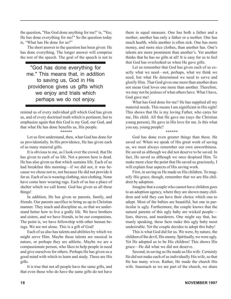the question, "Has God done anything for me?' is, "Yes; He has done everything for me!" So the question today is, "What has He done for us?"

The short answer to the question has been given: He has done everything. The longer answer will comprise the rest of the speech. The goal of the speech is not to

"God has done everything for me." This means that, in addition to saving us, God in His providence gives us gifts which we enjoy and trials which perhaps we do not enjoy.

remind us of every individual gift which God has given us, and of every doctrinal truth which is pertinent, but to emphasize again that this God is my God, our God, and that what He has done benefits us, His people.

\*\*\*\*\*\*

Let us first understand, then, what God has done for us providentially. In His providence, He has given each of us many material gifts.

It is obvious to me, as I look over the crowd, that He has given to each of us life. Not a person here is dead. He has also given us that which sustains life. Each of us had breakfast this morning—if we did not, it was because we chose not to, not because He did not provide it for us. Each of us is wearing clothing, nice clothing. None have come here wearing rags. Each of us has a place of shelter which we call home. God has given us all these things!

In addition, He has given us parents, family, and friends. Our parents sacrifice to bring us up in Christian manner. They teach and discipline us, so that we understand better how to live a godly life. We have brothers and sisters, and we have friends, to be our companions. The point is, we have fellowship with other human beings. We are not alone. This is a gift of God!

Each of us also has talents and abilities by which we might serve Him. Maybe those talents are musical in nature, or perhaps they are athletic. Maybe we are a compassionate person, who likes to help people in need and give ourselves for others. Perhaps He has given us a good mind with which to learn and study. These are His gifts.

It is true that not all people have the same gifts, and that even those who do have the same gifts do not have

them in equal measure. One has both a father and a mother; another has only a father or a mother. One has much health, while another is often sick. One has more money, and more nice clothes, than another has. One's talents are more prominent than another's. Yet another thinks that he has no gifts at all! It is easy for us to feel that God has overlooked us when He gave gifts.

Let us remember that God has given each of us exactly what we need—not, perhaps, what we think we need, but what He determined we need to serve and glorify Him. That God gives one more than another does not mean God loves one more than another. Therefore, we may not be jealous of what others have. What I have, God gave me!

What has God done for me? He has supplied all my material needs. This means I am significant in His sight! This shows that He is my loving Father, who cares for me, His child. All that He gave me (says the Christian young person), He gave in His love for me. Is this what you say, young people?

\*\*\*\*\*\*

God has done even greater things than these. He saved us! When we speak of His great work of saving us, we must always remember our own unworthiness. He saved us although we did not deserve to be saved. In fact, He saved us although we once despised Him. To make more clear the point that He saved us graciously, I will explain four aspects of His saving work.

First, in saving us He made us His children. To magnify His grace, though, remember that we are His children by adoption.

Imagine that a couple who cannot have children goes to an adoption agency, where they are shown many children and told they can have their choice which one to adopt. Most of the babies are beautiful, but one in particular is ugly. Furthermore, the couple knows that the natural parents of this ugly baby are wicked people liars, thieves, and murderers. One might say that, humanly speaking, these facts make this ugly baby most undesirable. Yet the couple decides to adopt this baby!

This is what God did for us. We were, by nature, the children of the devil, His enemy. Spiritually, we were ugly. Yet He adopted us to be His children! This shows His grace—He did what we did not deserve.

Second, in saving us He made us His wife. Certainly He did not make each of us individually His wife, so that He has many wives. Rather, He made the church His wife. Inasmuch as we are part of the church, we share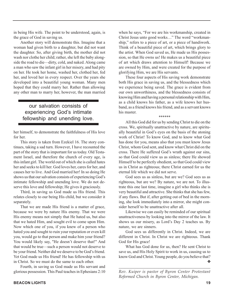in being His wife. The point to be understood, again, is the grace of God in saving us.

Another story will demonstrate this. Imagine that a woman had given birth to a daughter, but did not want the daughter. So, after giving birth, the mother did not wash nor clothe her child; rather, she left the baby alongside the road to die—dirty, cold, and naked. Along came a man who saw the infant girl in her misery, and had pity on her. He took her home, washed her, clothed her, fed her, and loved her in every respect. Over the years she developed into a beautiful young woman. Many men hoped that they could marry her. Rather than allowing any other man to marry her, however, the man married

### our salvation consists of experiencing God's intimate fellowship and unending love.

her himself, to demonstrate the faithfulness of His love for her.

This story is taken from Ezekiel 16. The story continues, taking a sad turn. However, I have recounted the part of the story that is important for us today. Old Testament Israel, and therefore the church of every age, is this infant girl. The world out of which she is called hates her and seeks to kill her. God loves her, cares for her, and causes her to live. And God married her! In so doing He shows us that our salvation consists of experiencing God's intimate fellowship and unending love. We do not deserve this love and fellowship; He gives it graciously.

Third, in saving us God made us His friend. This relates closely to our being His child, but we consider it separately.

That we are made His friend is a matter of grace, because we were by nature His enemy. That we were His enemy means not simply that He hated us, but also that we hated Him, and sought evil to come upon Him. Now which one of you, if you knew of a person who hated you and sought to ruin your reputation or even kill you, would go to that person and make him your friend? You would likely say, "He doesn't deserve that!" And that would be true—such a person would not deserve to be your friend. Neither did we deserve to be God's friend. Yet God made us His friend! He has fellowship with us in Christ. So we must do the same to each other.

Fourth, in saving us God made us His servant and glorious possession. This Paul teaches in Ephesians 2:10 when he says, "For we are his workmanship, created in Christ Jesus unto good works…" The word "workmanship," refers to a piece of art, or a piece of handiwork. Think of a beautiful piece of art, which brings glory to the artist. When God saved us, He made us His possession, so that He owns us! He makes us a beautiful piece of art which draws attention to Himself! Because we are owned by Him, and were created for the purpose of glorifying Him, we are His servants.

These four aspects of His saving work demonstrate both His grace in saving us, and the blessedness which we experience being saved. The grace is evident from our own unworthiness, and the blessedness consists of knowing Him and having a personal relationship with Him, as a child knows his father, as a wife knows her husband, as a friend knows his friend, and as a servant knows his master.

\*\*\*\*\*\*

All this God did for us by sending Christ to die on the cross. We, spiritually unattractive by nature, are spiritually beautiful in God's eyes on the basis of the atoning work of Christ! To know God, and to know what God has done for you, means also that you must know Jesus Christ, whom God sent, and know what Christ did on the cross. There He suffered God's wrath against our sins, so that God could view us as sinless; there He showed Himself to be perfectly obedient, so that God could view us in Christ as righteous; there Christ earned for us the eternal life which we did not serve.

God sees us as sinless, but are we? God sees us as righteous, but are we? By nature, we are not. To illustrate this one last time, imagine a girl who thinks she is very beautiful and attractive. She thinks that she has few, if any flaws. But if, after getting out of bed in the morning, she look immediately into a mirror, she might consider herself to be unattractive after all.

Likewise we can easily be reminded of our spiritual unattractiveness by looking into the mirror of the law. It shows us our misery, as Lord's Day 2 teaches us. By nature, we are sinners.

God sees us differently in Christ. Indeed, we are different in Christ. In Christ we are righteous. Thank God for His grace!

What has God done for us, then? He sent Christ to save us, and His Holy Spirit to work in us, causing us to know God and Christ. Young people, do you believe that? ❖

*\_\_\_\_\_\_\_\_\_\_\_\_\_\_\_\_\_\_\_\_\_\_\_\_\_\_\_\_\_\_\_\_\_\_\_\_\_\_\_\_\_\_\_\_ Rev. Kuiper is pastor of Byron Center Protestant Reformed Church in Byron Center, Michigan.*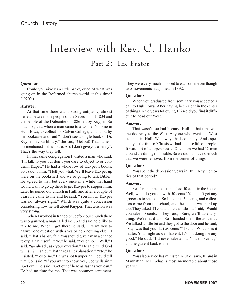# Interview with Rev. C. Hanko

Part 2: The Pastor

#### **Question:**

Could you give us a little background of what was going on in the Reformed church world at this time?  $(1920's)$ 

#### **Answer:**

At that time there was a strong antipathy, almost hatred, between the people of the Secession of 1834 and the people of the Doleantie of 1886 led by Kuyper. So much so, that when a man came to a women's home in Hull, Iowa, to collect for Calvin College, and stood by her bookcase and said "I don't see a single book of Dr. Kuyper in your library," she said, "Get out! That name is not mentioned in this house. And I don't give you a penny". That's the way they felt.

In that same congregation I visited a man who said, 'I'll talk to you but don't you dare to object to or condemn Kuper." He had a whole row of Kuyper's books. So I said to him, "I tell you what. We'll leave Kuyper up there on the bookshelf and we're going to talk Bible." He agreed to that, but every once in a while that hand would want to go up there to get Kuyper to support him. Later he joined our church in Hull, and after a couple of years he came to me and he said, "You know, Kuyper was not always right." Which was quite a concession considering how he felt about Kuyper. That tension was very strong.

When I worked in Randolph, before our church there was organized, a man called me up and said he'd like to talk to me. When I got there he said, "I want you to answer one question with a yes or no - nothing else." I said, "That's hardly fair. You should give a man a chance to explain himself." "No," he said, "Yes or no." "Well," I said, "go ahead , ask your question." He said "Did God will sin?" I said, "That takes an explanation." "No," he insisted, "Yes or no." He was not Kuyperian, I could tell that. So I said, "If you want to know, yes, God wills sin." "Get out!" he said, "Get out of here as fast as you can." He had no time for me. That was common sentiment.

They were very much opposed to each other even though two movements had joined in 1892.

#### **Question:**

When you graduated from seminary you accepted a call to Hull, Iowa. After having been right in the center of things in the years following 1924 did you find it difficult to head out West?

#### **Answer:**

That wasn't too bad because Hull at that time was the doorway to the West. Anyone who went out West stopped in Hull. We always had company. And especially at the time of Classis we had a house full of people. It was sort of an open house. One noon we had 13 men around the dining room table. So we didn't notice so much that we were removed from the center of things.

#### **Question:**

You spent the depression years in Hull. Any memories of that period?

#### **Answer:**

Yes. I remember one time I had 50 cents in the house. Well, what do you do with 50 cents? You can't get any groceries to speak of. So I had this 50 cents, and collectors came from the school, and the school was hard up too. They asked if I could donate a little bit. I said, "Would you take 50 cents?" They said, "Sure, we'll take anything. We're hard up." So I handed them the 50 cents. We talked a little bit and they got to the door and he said, "Say, was that your last 50 cents?" I said, "What does it matter. You might as well have it. It's not doing me any good." He said, "I'd never take a man's last 50 cents," and he gave it back to me.

#### **Question:**

You also served has minister in Oak Lawn, IL and in Manhattan, MT. What is most memorable about those years?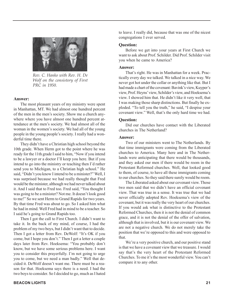

*Rev. C. Hanko with Rev. H. De Wolf on the consistory of First PRC in 1950.*

#### **Answer:**

The most pleasant years of my ministry were spent in Manhattan, MT. We had almost one hundred percent of the men in the men's society. Show me a church anywhere where you have almost one hundred percent attendance at the men's society. We had almost all of the woman in the women's society. We had all of the young people in the young people's society. I really had a wonderful time there.

They didn't have a Christian high school beyond the 10th grade. When Herm got to the point where he was ready for the 11th grade I said to him, "Now if you intend to be a lawyer or a doctor I'll keep you here. But if you intend to go into the ministry or teaching then I'd rather send you to Michigan, to a Christian high school." He said, "Didn't you know I intend to be a minister?" Well, I was surprised because we had really thought that Fred would be the minister, although we had never talked about it. And I said that to Fred too. Fred said, "You thought I was going to be a minister? Not me. It doesn't look good to me!" So we sent Herm to Grand Rapids for two years. By that time Fred was about to go. So I asked him what he had in mind. Well Fred had in mind to be a teacher. So I said he's going to Grand Rapids too.

Then I got the call to First Church. I didn't want to take it. In the back of my mind, of course, I had the problem of my two boys, but I didn't want that to decide. Then I got a letter from Rev. DeWolf: "It's OK if you come, but I hope you don't." Then I got a letter a couple days later from Rev. Hoeksema: "You probably don't know, but we have some serious problems here. I want you to consider this prayerfully. I'm not going to urge you to come, but we need a man badly." Well that decided it. DeWolf doesn't want me. There must be a reason for that. Hoeksema says there is a need. I had the two boys to consider. So I decided to go, much as I hated

to leave. I really did, because that was one of the nicest congregations I ever served.

#### **Question:**

Before we get into your years at First Church we want to ask about Prof. Schilder. Did Prof. Schilder visit you when he came to America?

#### **Answer:**

That's right. He was in Manhattan for a week. Practically every day we talked. We talked in a nice way. We never got hot under the collar or anything like that. But I had made a chart of the covenant: Bavink's view, Kuyper's view, Prof. Heyns' view, Schilder's view, and Hoeksema's view. I showed him that. He didn't like it very well, that I was making those sharp distinctions. But finally he exploded. "To tell you the truth," he said, "I despise your covenant view." Well, that's the only hard time we had.

#### **Question:**

Did our churches have contact with the Liberated churches in The Netherland?

#### **Answer:**

Two of our ministers went to The Netherlands. By that time immigrants were coming from the Liberated churches to America. Many here and in The Netherlands were anticipating that there would be thousands, and they asked our men if there would be room in the Protestant Reformed churches. Well, that looked good to them, of course, to have all these immigrants coming to our churches. So they said there surely would be room.

The Liberated asked about our covenant view. Those two men said that we didn't have an official covenant view. That was true in a sense. It was true that we had never officially adopted Rev. Hoeksema's view of the covenant, but it was really the very heart of our churches. If you would ask what is distinctive to the Protestant Reformed Churches, then it is not the denial of common grace, and it is not the denial of the offer of salvation, although that is involved, but it is our covenant view. We are not a negative church. We do not merely take the position that we're opposed to this and were opposed to that.

We're a very positive church, and our positive stand is that we have a covenant view that we treasure. I would say that's the very heart of the Protestant Reformed Churches. To me it's the most wonderful view. You can't compare it to any other.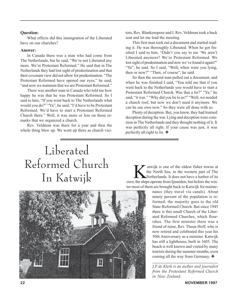#### **Question:**

What effects did this immigration of the Liberated have on our churches?

#### **Answer:**

In Canada there was a man who had come from The Netherlands, but he said, "We're not Liberated any more. We're Protestant Reformed." He said that in The Netherlands they had lost sight of predestination and that their covenant view did not allow for predestination. "The Protestant Reformed have opened our eyes," he said, "and now we maintain that we are Protestant Reformed."

There was another man in Canada who told me how happy he was that he was Protestant Reformed. So I said to him, "If you went back to The Netherlands what would you do?" "Ya", he said, "I'd have to be Protestant Reformed. We'd have to start a Protestant Reformed Church there." Well, it was more or less on those remarks that we organized a church.

Rev. Veldman was there for a year and then the whole thing blew up. We went up there as church visitors, Rev. Blankenspoor and I. Rev. Veldman took a back seat and let me lead the meeting.

This first man took out a document and started reading it. He was thoroughly Liberated. When he got finished I said to him, "Didn't you say to me 'We aren't Liberated anymore? We're Protestant Reformed. We lost sight of predestination and now we've found it again?" "Ya", he said. So I said, "Well, when were you lying, then or now?" "Then, of course", he said.

So then the second man pulled out a document, and when he was finished I said, "You told me that if you went back to the Netherlands you would have to start a Protestant Reformed Church. Was that a lie?" "Ya," he said, "it was." "Why did you lie to us?" "Well, we needed a church roof, but now we don't need it anymore. We can be our own now." So they were all done with us.

Plenty of deception. But, you know, they had learned deception during the war. Lying and deception were common in The Netherlands and they thought nothing of it. It was perfectly all right. If your cause was just, it was perfectly all right to lie. ❖

# Liberated Reformed Church

OTIHEU CHUICH<br>
In Katwijk is one of the oldest fisher towns at<br>
Netherlands. It does not have a harbor of its<br>
Netherlands. It does not have a harbor of its<br>
wur: the shins operate from limpiden but before the winthe North Sea, in the western part of The Netherlands. It does not have a harbor of its own; the ships operate from Ijmniden, but before the winter most of them are brought back to Katwijk for mainte-

nance (they travel via canals). About ninety percent of the population is reformed; the majority goes to the old State-Reformed Church. But since 1945 there is this small Church of the Liberated Reformed Churches, which flourishes. The first minister there was a friend of mine, Rev. Theun Hoff, who is now retired and celebrated this year his 50th Anniversary as a minister. Katwijk has still a lighthouse, built in 1605. The beach is well known and visited by many tourists during the summer months, even coming all the way from Germany. ❖

*J.P.de Klerk is an author and journalist from the Protestant Reformed Church in New Zeeland.*

*\_\_\_\_\_\_\_\_\_\_\_\_\_\_\_\_\_\_\_\_\_\_\_\_\_\_\_\_\_\_\_\_\_\_\_\_\_\_\_\_\_\_*

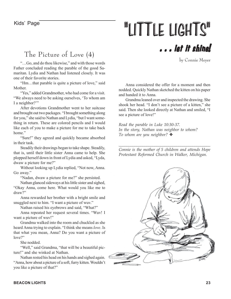# Kids' Page **"LITTLE LIGHTS"**

## The Picture of Love (4)

"…Go, and do thou likewise," and with those words Father concluded reading the parable of the good Samaritan. Lydia and Nathan had listened closely. It was one of their favorite stories.

"Hm…that parable is quite a picture of love," said **Mother** 

"Yes," added Grandmother, who had come for a visit. "We always need to be asking ourselves, 'To whom am I a neighbor?"

After devotions Grandmother went to her suitcase and brought out two packages. "I brought something along for you," she said to Nathan and Lydia, "but I want something in return. These are colored pencils and I would like each of you to make a picture for me to take back home"

"Sure!" they agreed and quickly became absorbed in their task.

Steadily their drawings began to take shape. Steadily, that is, until their little sister Anna came to help. She plopped herself down in front of Lydia and asked, "Lyda, dwaw a picture for me?"

Without looking up Lydia replied, "Not now, Anna. Go away."

"Nadan, dwaw a picture for me?" she persisted.

Nathan glanced sideways at his little sister and sighed, "Okay Anna, come here. What would you like me to draw?"

Anna rewarded her brother with a bright smile and snuggled next to him. "I want a picture of wuv."

Nathan raised his eyebrows and said, "What?"

Anna repeated her request several times. "Wuv! I want a picture of wuv!"

Grandma walked into the room and chuckled as she heard Anna trying to explain. "I think she means *love*. Is that what you mean, Anna? Do you want a picture of love?"

She nodded.

"Well," said Grandma, "that will be a beautiful picture!" and she winked at Nathan.

Nathan rested his head on his hands and sighed again. "Anna, how about a picture of a soft, furry kitten. Wouldn't you like a picture of that?"

. . . let it shine!

by Connie Meyer

Anna considered the offer for a moment and then nodded. Quickly Nathan sketched the kitten on his paper and handed it to Anna.

Grandma leaned over and inspected the drawing. She shook her head. "I don't see a picture of a kitten," she said. Then she looked directly at Nathan and smiled, "I see a picture of love!"

*Read the parable in Luke 10:30-37. In the story, Nathan was neighbor to whom? To whom are you neighbor?* ❖

*\_\_\_\_\_\_\_\_\_\_\_\_\_\_\_\_\_\_\_\_\_\_\_\_\_\_\_\_\_\_\_\_\_\_\_\_\_\_\_\_\_\_\_\_\_\_ Connie is the mother of 5 children and attends Hope Protestant Reformed Church in Walker, Michigan.*